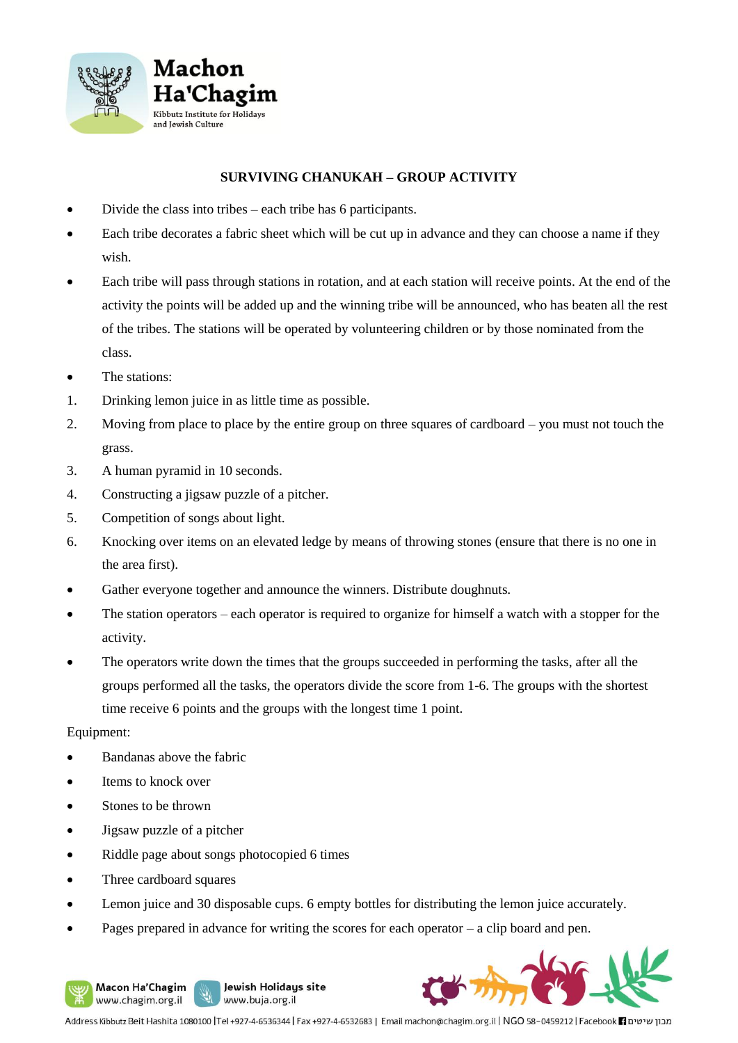

## **SURVIVING CHANUKAH – GROUP ACTIVITY**

- Divide the class into tribes each tribe has 6 participants.
- Each tribe decorates a fabric sheet which will be cut up in advance and they can choose a name if they wish.
- Each tribe will pass through stations in rotation, and at each station will receive points. At the end of the activity the points will be added up and the winning tribe will be announced, who has beaten all the rest of the tribes. The stations will be operated by volunteering children or by those nominated from the class.
- The stations:
- 1. Drinking lemon juice in as little time as possible.
- 2. Moving from place to place by the entire group on three squares of cardboard you must not touch the grass.
- 3. A human pyramid in 10 seconds.
- 4. Constructing a jigsaw puzzle of a pitcher.
- 5. Competition of songs about light.
- 6. Knocking over items on an elevated ledge by means of throwing stones (ensure that there is no one in the area first).
- Gather everyone together and announce the winners. Distribute doughnuts.
- The station operators each operator is required to organize for himself a watch with a stopper for the activity.
- The operators write down the times that the groups succeeded in performing the tasks, after all the groups performed all the tasks, the operators divide the score from 1-6. The groups with the shortest time receive 6 points and the groups with the longest time 1 point.

## Equipment:

- Bandanas above the fabric
- Items to knock over
- Stones to be thrown
- Jigsaw puzzle of a pitcher
- Riddle page about songs photocopied 6 times
- Three cardboard squares

Macon Ha'Chagim

www.chagim.org.il

- Lemon juice and 30 disposable cups. 6 empty bottles for distributing the lemon juice accurately.
- Pages prepared in advance for writing the scores for each operator  $-$  a clip board and pen.

Jewish Holidays site

www.buja.org.il